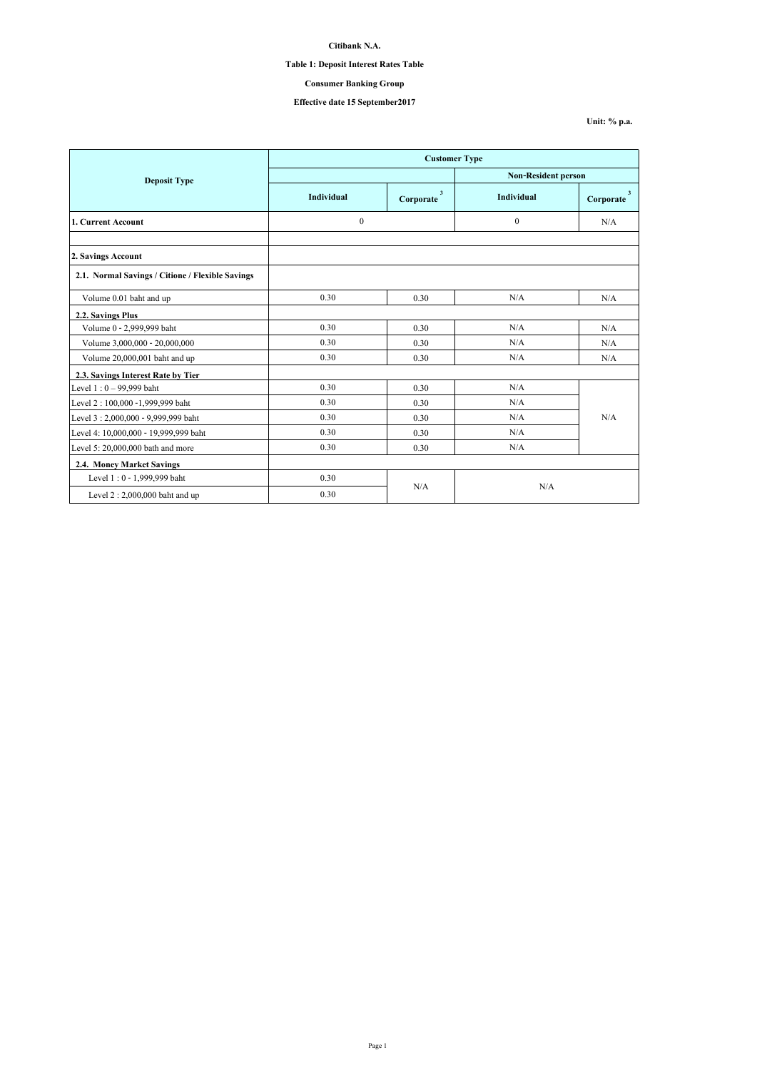## **Table 1: Deposit Interest Rates Table**

## **Consumer Banking Group**

# **Effective date 15 September2017**

**Unit: % p.a.**

|                                                  | <b>Customer Type</b> |                                      |                            |                                      |
|--------------------------------------------------|----------------------|--------------------------------------|----------------------------|--------------------------------------|
| <b>Deposit Type</b>                              |                      |                                      | <b>Non-Resident person</b> |                                      |
|                                                  | Individual           | $\overline{\mathbf{3}}$<br>Corporate | Individual                 | $\overline{\mathbf{3}}$<br>Corporate |
| 1. Current Account                               | $\boldsymbol{0}$     |                                      | $\theta$                   | N/A                                  |
|                                                  |                      |                                      |                            |                                      |
| 2. Savings Account                               |                      |                                      |                            |                                      |
| 2.1. Normal Savings / Citione / Flexible Savings |                      |                                      |                            |                                      |
| Volume 0.01 baht and up                          | 0.30                 | 0.30                                 | N/A                        | N/A                                  |
| 2.2. Savings Plus                                |                      |                                      |                            |                                      |
| Volume 0 - 2,999,999 baht                        | 0.30                 | 0.30                                 | N/A                        | N/A                                  |
| Volume 3,000,000 - 20,000,000                    | 0.30                 | 0.30                                 | N/A                        | N/A                                  |
| Volume 20,000,001 baht and up                    | 0.30                 | 0.30                                 | N/A                        | N/A                                  |
| 2.3. Savings Interest Rate by Tier               |                      |                                      |                            |                                      |
| Level $1:0 - 99,999$ baht                        | 0.30                 | 0.30                                 | N/A                        |                                      |
| Level 2: 100,000 -1,999,999 baht                 | 0.30                 | 0.30                                 | N/A                        |                                      |
| Level 3:2,000,000 - 9,999,999 baht               | 0.30                 | 0.30                                 | N/A                        | N/A                                  |
| Level 4: 10,000,000 - 19,999,999 baht            | 0.30                 | 0.30                                 | N/A                        |                                      |
| Level 5: 20,000,000 bath and more                | 0.30                 | 0.30                                 | N/A                        |                                      |
| 2.4. Money Market Savings                        |                      |                                      |                            |                                      |
| Level 1:0 - 1,999,999 baht                       | 0.30                 |                                      |                            |                                      |
| Level $2:2,000,000$ baht and up                  | 0.30                 | N/A                                  | N/A                        |                                      |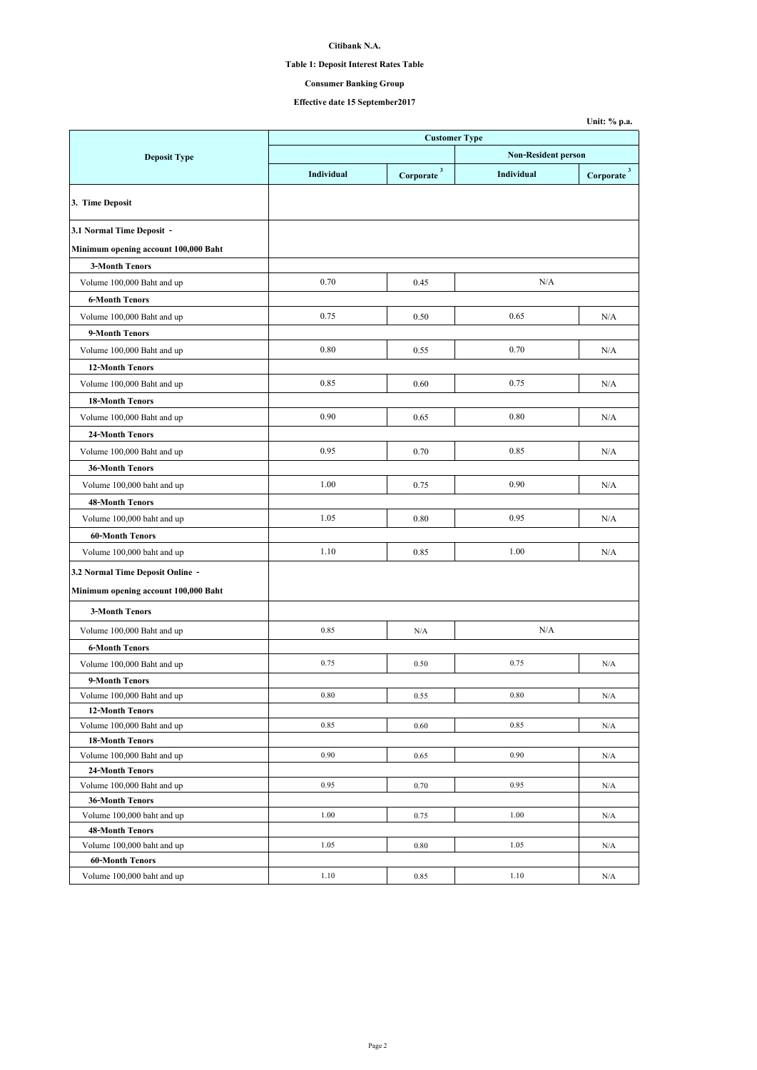## **Table 1: Deposit Interest Rates Table**

# **Consumer Banking Group**

# **Effective date 15 September2017**

|                                                      |                      |                          |                            | Unit: % p.a.           |  |
|------------------------------------------------------|----------------------|--------------------------|----------------------------|------------------------|--|
|                                                      | <b>Customer Type</b> |                          |                            |                        |  |
| <b>Deposit Type</b>                                  |                      |                          | <b>Non-Resident person</b> |                        |  |
|                                                      | Individual           | $Corporate$ <sup>3</sup> | Individual                 | Corporate <sup>3</sup> |  |
| 3. Time Deposit                                      |                      |                          |                            |                        |  |
| 3.1 Normal Time Deposit -                            |                      |                          |                            |                        |  |
| Minimum opening account 100,000 Baht                 |                      |                          |                            |                        |  |
| <b>3-Month Tenors</b>                                |                      |                          |                            |                        |  |
| Volume 100,000 Baht and up                           | 0.70                 | 0.45                     | N/A                        |                        |  |
| <b>6-Month Tenors</b>                                |                      |                          |                            |                        |  |
| Volume 100,000 Baht and up                           | 0.75                 | 0.50                     | 0.65                       | N/A                    |  |
| 9-Month Tenors                                       |                      |                          |                            |                        |  |
| Volume 100,000 Baht and up                           | 0.80                 | 0.55                     | 0.70                       | N/A                    |  |
| <b>12-Month Tenors</b>                               |                      |                          |                            |                        |  |
| Volume 100,000 Baht and up                           | 0.85                 | 0.60                     | 0.75                       | N/A                    |  |
|                                                      |                      |                          |                            |                        |  |
| <b>18-Month Tenors</b>                               | 0.90                 |                          | 0.80                       |                        |  |
| Volume 100,000 Baht and up                           |                      | 0.65                     |                            | N/A                    |  |
| 24-Month Tenors                                      |                      |                          |                            |                        |  |
| Volume 100,000 Baht and up                           | 0.95                 | 0.70                     | 0.85                       | N/A                    |  |
| 36-Month Tenors                                      |                      |                          |                            |                        |  |
| Volume 100,000 baht and up                           | 1.00                 | 0.75                     | 0.90                       | N/A                    |  |
| <b>48-Month Tenors</b>                               |                      |                          |                            |                        |  |
| Volume 100,000 baht and up                           | 1.05                 | 0.80                     | 0.95                       | N/A                    |  |
| <b>60-Month Tenors</b>                               |                      |                          |                            |                        |  |
| Volume 100,000 baht and up                           | 1.10                 | 0.85                     | 1.00                       | N/A                    |  |
| 3.2 Normal Time Deposit Online -                     |                      |                          |                            |                        |  |
| Minimum opening account 100,000 Baht                 |                      |                          |                            |                        |  |
| <b>3-Month Tenors</b>                                |                      |                          |                            |                        |  |
|                                                      |                      |                          |                            |                        |  |
| Volume 100,000 Baht and up                           | 0.85                 | N/A                      | N/A                        |                        |  |
| <b>6-Month Tenors</b>                                |                      |                          |                            |                        |  |
| Volume 100,000 Baht and up                           | 0.75                 | 0.50                     | 0.75                       | N/A                    |  |
| 9-Month Tenors                                       |                      |                          |                            |                        |  |
| Volume 100,000 Baht and up                           | 0.80                 | 0.55                     | 0.80                       | N/A                    |  |
| <b>12-Month Tenors</b><br>Volume 100,000 Baht and up | 0.85                 | 0.60                     | 0.85                       | N/A                    |  |
| <b>18-Month Tenors</b>                               |                      |                          |                            |                        |  |
| Volume 100,000 Baht and up                           | 0.90                 | 0.65                     | 0.90                       | N/A                    |  |
| 24-Month Tenors                                      |                      |                          |                            |                        |  |
| Volume 100,000 Baht and up                           | 0.95                 | 0.70                     | 0.95                       | N/A                    |  |
| <b>36-Month Tenors</b>                               |                      |                          |                            |                        |  |
| Volume 100,000 baht and up                           | 1.00                 | 0.75                     | 1.00                       | N/A                    |  |
| <b>48-Month Tenors</b>                               |                      |                          |                            |                        |  |
| Volume 100,000 baht and up                           | 1.05                 | 0.80                     | 1.05                       | N/A                    |  |
| <b>60-Month Tenors</b>                               |                      |                          |                            |                        |  |
| Volume 100,000 baht and up                           | 1.10                 | 0.85                     | 1.10                       | N/A                    |  |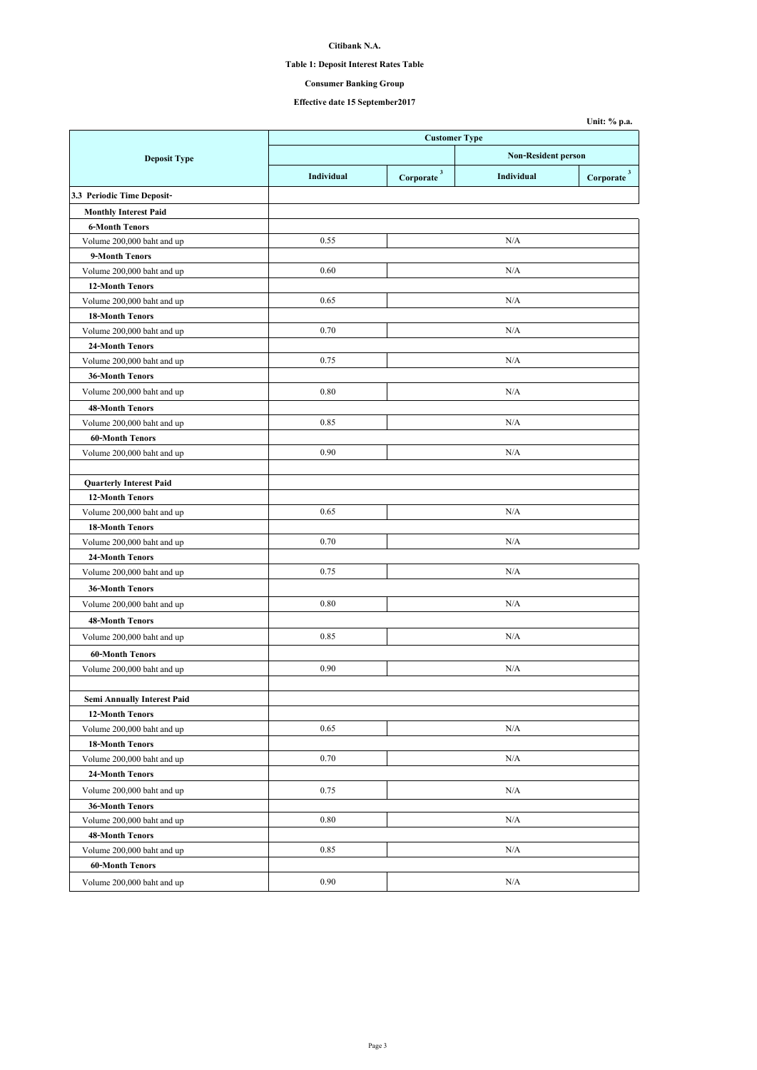## **Table 1: Deposit Interest Rates Table**

**Consumer Banking Group**

**Effective date 15 September2017**

|                                |                      |                            |            | Unit: % p.a.                  |
|--------------------------------|----------------------|----------------------------|------------|-------------------------------|
|                                | <b>Customer Type</b> |                            |            |                               |
| <b>Deposit Type</b>            |                      | <b>Non-Resident person</b> |            |                               |
|                                | Individual           | $Corporate$ <sup>3</sup>   | Individual | $\bf{Corporate}$ <sup>3</sup> |
| 3.3 Periodic Time Deposit-     |                      |                            |            |                               |
| <b>Monthly Interest Paid</b>   |                      |                            |            |                               |
| <b>6-Month Tenors</b>          |                      |                            |            |                               |
| Volume 200,000 baht and up     | 0.55                 |                            | N/A        |                               |
| 9-Month Tenors                 |                      |                            |            |                               |
| Volume 200,000 baht and up     | 0.60                 |                            | N/A        |                               |
| <b>12-Month Tenors</b>         |                      |                            |            |                               |
| Volume 200,000 baht and up     | 0.65                 |                            | N/A        |                               |
| <b>18-Month Tenors</b>         |                      |                            |            |                               |
| Volume 200,000 baht and up     | 0.70                 |                            | N/A        |                               |
| 24-Month Tenors                |                      |                            |            |                               |
| Volume 200,000 baht and up     | 0.75                 |                            | N/A        |                               |
| 36-Month Tenors                |                      |                            |            |                               |
| Volume 200,000 baht and up     | 0.80                 |                            | N/A        |                               |
| <b>48-Month Tenors</b>         |                      |                            |            |                               |
| Volume 200,000 baht and up     | 0.85                 |                            | N/A        |                               |
| <b>60-Month Tenors</b>         |                      |                            |            |                               |
| Volume 200,000 baht and up     | 0.90                 |                            | N/A        |                               |
|                                |                      |                            |            |                               |
| <b>Quarterly Interest Paid</b> |                      |                            |            |                               |
| 12-Month Tenors                |                      |                            |            |                               |
| Volume 200,000 baht and up     | 0.65                 |                            | N/A        |                               |
| <b>18-Month Tenors</b>         |                      |                            |            |                               |
| Volume 200,000 baht and up     | 0.70                 |                            | N/A        |                               |
| 24-Month Tenors                |                      |                            |            |                               |
| Volume 200,000 baht and up     | 0.75                 |                            | N/A        |                               |
| 36-Month Tenors                |                      |                            |            |                               |
| Volume 200,000 baht and up     | 0.80                 |                            | N/A        |                               |
| <b>48-Month Tenors</b>         |                      |                            |            |                               |
|                                |                      |                            | N/A        |                               |
| Volume 200,000 baht and up     | 0.85                 |                            |            |                               |
| <b>60-Month Tenors</b>         |                      |                            |            |                               |
| Volume 200,000 baht and up     | 0.90                 |                            | N/A        |                               |
|                                |                      |                            |            |                               |
| Semi Annually Interest Paid    |                      |                            |            |                               |
| <b>12-Month Tenors</b>         |                      |                            |            |                               |
| Volume 200,000 baht and up     | 0.65                 |                            | N/A        |                               |
| <b>18-Month Tenors</b>         |                      |                            |            |                               |
| Volume 200,000 baht and up     | 0.70                 |                            | N/A        |                               |
| 24-Month Tenors                |                      |                            |            |                               |
| Volume 200,000 baht and up     | 0.75                 |                            | N/A        |                               |
| 36-Month Tenors                |                      |                            |            |                               |
| Volume 200,000 baht and up     | 0.80                 |                            | N/A        |                               |
| <b>48-Month Tenors</b>         |                      |                            |            |                               |
| Volume 200,000 baht and up     | 0.85                 |                            | N/A        |                               |
| 60-Month Tenors                |                      |                            |            |                               |
| Volume 200,000 baht and up     | 0.90                 |                            | N/A        |                               |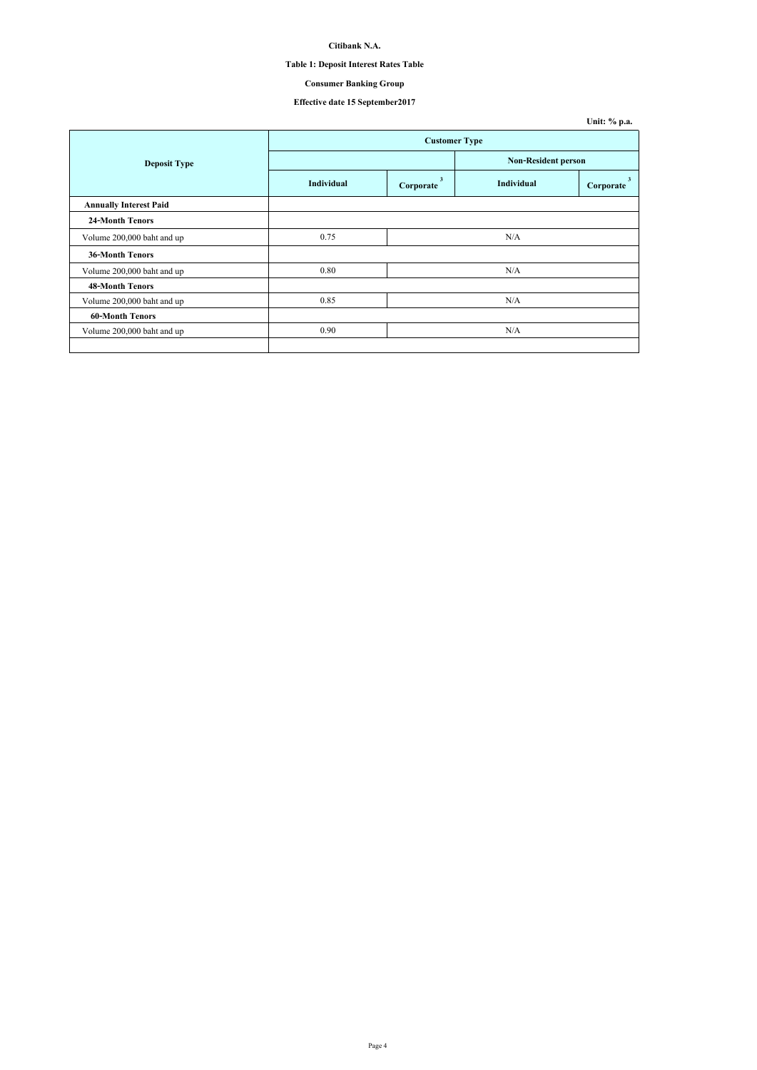## **Table 1: Deposit Interest Rates Table**

# **Consumer Banking Group**

# **Effective date 15 September2017**

|                               |                      |                |                            | Unit: % p.a. |
|-------------------------------|----------------------|----------------|----------------------------|--------------|
|                               | <b>Customer Type</b> |                |                            |              |
| <b>Deposit Type</b>           |                      |                | <b>Non-Resident person</b> |              |
|                               | Individual           | 3<br>Corporate | Individual                 | Corporate    |
| <b>Annually Interest Paid</b> |                      |                |                            |              |
| <b>24-Month Tenors</b>        |                      |                |                            |              |
| Volume 200,000 baht and up    | 0.75                 |                | N/A                        |              |
| <b>36-Month Tenors</b>        |                      |                |                            |              |
| Volume 200,000 baht and up    | 0.80                 |                | N/A                        |              |
| <b>48-Month Tenors</b>        |                      |                |                            |              |
| Volume 200,000 baht and up    | 0.85                 |                | N/A                        |              |
| <b>60-Month Tenors</b>        |                      |                |                            |              |
| Volume 200,000 baht and up    | 0.90                 |                | N/A                        |              |
|                               |                      |                |                            |              |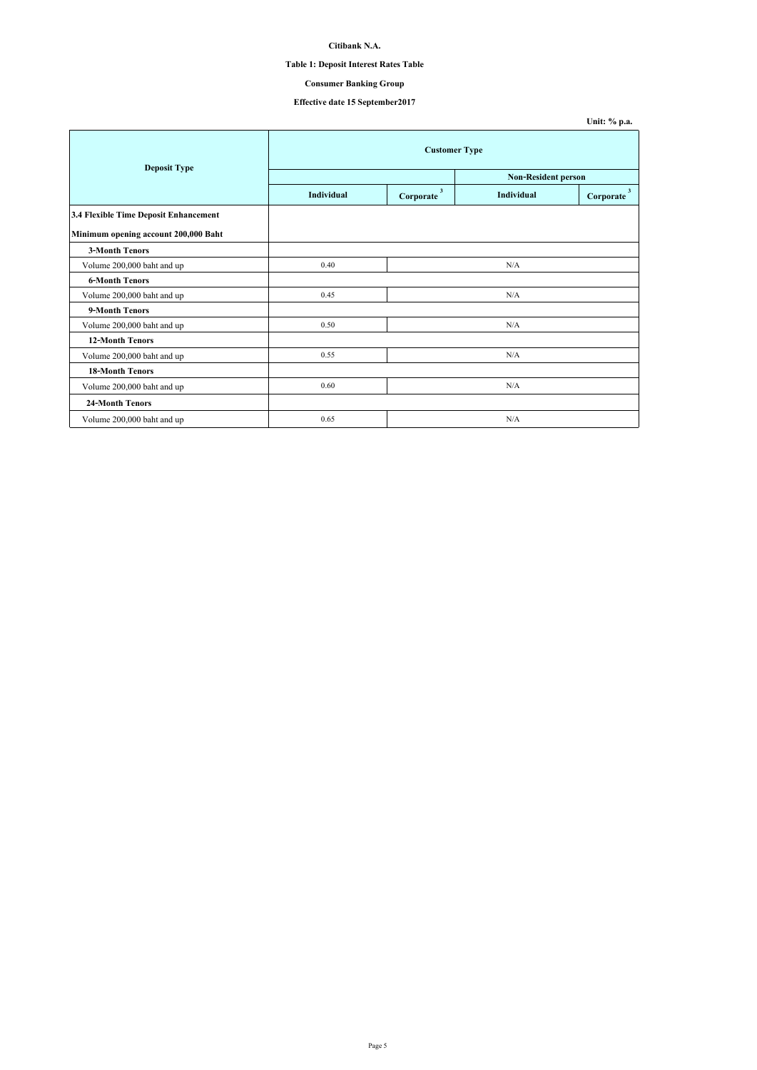## **Table 1: Deposit Interest Rates Table**

## **Consumer Banking Group**

# **Effective date 15 September2017**

**Unit: % p.a.**

| <b>Deposit Type</b>                   | <b>Customer Type</b> |                                      |                            |                                      |
|---------------------------------------|----------------------|--------------------------------------|----------------------------|--------------------------------------|
|                                       |                      |                                      | <b>Non-Resident person</b> |                                      |
|                                       | Individual           | $\overline{\mathbf{3}}$<br>Corporate | Individual                 | $\overline{\mathbf{3}}$<br>Corporate |
| 3.4 Flexible Time Deposit Enhancement |                      |                                      |                            |                                      |
| Minimum opening account 200,000 Baht  |                      |                                      |                            |                                      |
| <b>3-Month Tenors</b>                 |                      |                                      |                            |                                      |
| Volume 200,000 baht and up            | 0.40                 |                                      | N/A                        |                                      |
| <b>6-Month Tenors</b>                 |                      |                                      |                            |                                      |
| Volume 200,000 baht and up            | 0.45                 |                                      | N/A                        |                                      |
| 9-Month Tenors                        |                      |                                      |                            |                                      |
| Volume 200,000 baht and up            | 0.50                 |                                      | N/A                        |                                      |
| <b>12-Month Tenors</b>                |                      |                                      |                            |                                      |
| Volume 200,000 baht and up            | 0.55                 |                                      | N/A                        |                                      |
| <b>18-Month Tenors</b>                |                      |                                      |                            |                                      |
| Volume 200,000 baht and up            | 0.60                 |                                      | N/A                        |                                      |
| 24-Month Tenors                       |                      |                                      |                            |                                      |
| Volume 200,000 baht and up            | 0.65                 |                                      | N/A                        |                                      |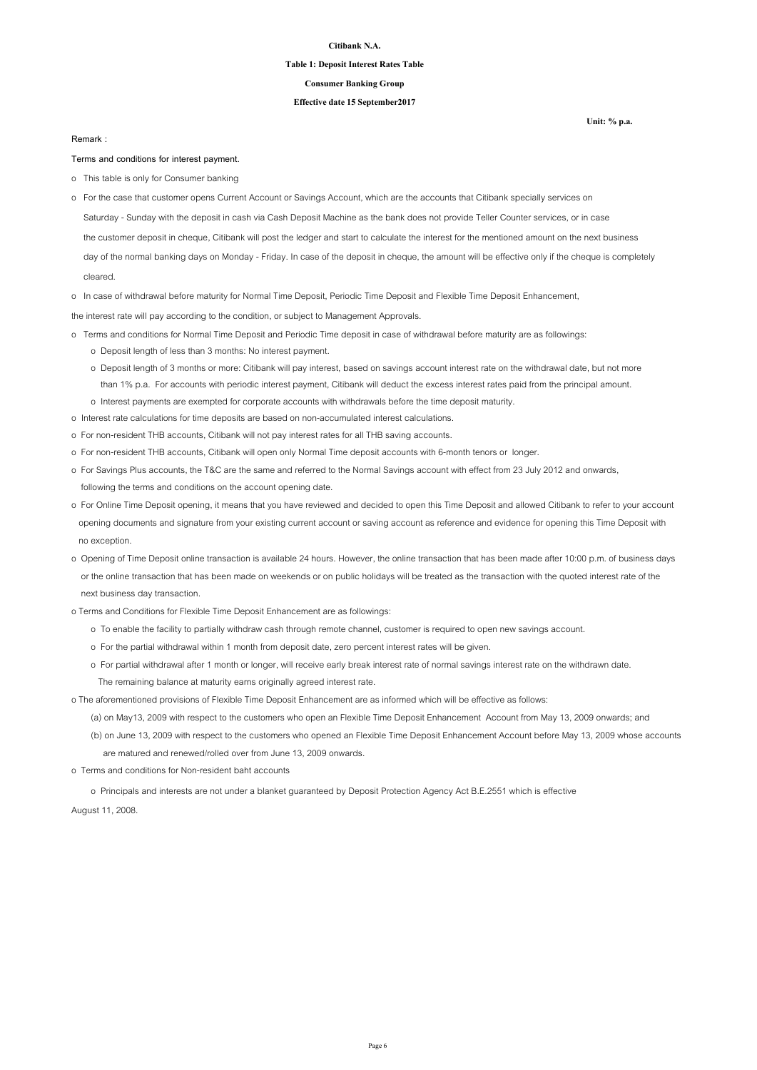#### **Table 1: Deposit Interest Rates Table**

#### **Consumer Banking Group**

### **Effective date 15 September2017**

#### **Remark :**

#### **Terms and conditions for interest payment.**

- o This table is only for Consumer banking
- Saturday Sunday with the deposit in cash via Cash Deposit Machine as the bank does not provide Teller Counter services, or in case the customer deposit in cheque, Citibank will post the ledger and start to calculate the interest for the mentioned amount on the next business day of the normal banking days on Monday - Friday. In case of the deposit in cheque, the amount will be effective only if the cheque is completely o For the case that customer opens Current Account or Savings Account, which are the accounts that Citibank specially services on

cleared.

o In case of withdrawal before maturity for Normal Time Deposit, Periodic Time Deposit and Flexible Time Deposit Enhancement,

the interest rate will pay according to the condition, or subject to Management Approvals.

- o Terms and conditions for Normal Time Deposit and Periodic Time deposit in case of withdrawal before maturity are as followings: o Deposit length of less than 3 months: No interest payment.
	- o Deposit length of 3 months or more: Citibank will pay interest, based on savings account interest rate on the withdrawal date, but not more than 1% p.a. For accounts with periodic interest payment, Citibank will deduct the excess interest rates paid from the principal amount. o Interest payments are exempted for corporate accounts with withdrawals before the time deposit maturity.
- o Interest rate calculations for time deposits are based on non-accumulated interest calculations.
- o For non-resident THB accounts, Citibank will not pay interest rates for all THB saving accounts.
- o For non-resident THB accounts, Citibank will open only Normal Time deposit accounts with 6-month tenors or longer.
- o For Savings Plus accounts, the T&C are the same and referred to the Normal Savings account with effect from 23 July 2012 and onwards, following the terms and conditions on the account opening date.
- o For Online Time Deposit opening, it means that you have reviewed and decided to open this Time Deposit and allowed Citibank to refer to your account opening documents and signature from your existing current account or saving account as reference and evidence for opening this Time Deposit with no exception.
- o Opening of Time Deposit online transaction is available 24 hours. However, the online transaction that has been made after 10:00 p.m. of business days or the online transaction that has been made on weekends or on public holidays will be treated as the transaction with the quoted interest rate of the next business day transaction.
- o Terms and Conditions for Flexible Time Deposit Enhancement are as followings:
	- o To enable the facility to partially withdraw cash through remote channel, customer is required to open new savings account.
	- o For the partial withdrawal within 1 month from deposit date, zero percent interest rates will be given.
	- o For partial withdrawal after 1 month or longer, will receive early break interest rate of normal savings interest rate on the withdrawn date. The remaining balance at maturity earns originally agreed interest rate.

o The aforementioned provisions of Flexible Time Deposit Enhancement are as informed which will be effective as follows:

(a) on May13, 2009 with respect to the customers who open an Flexible Time Deposit Enhancement Account from May 13, 2009 onwards; and

 (b) on June 13, 2009 with respect to the customers who opened an Flexible Time Deposit Enhancement Account before May 13, 2009 whose accounts are matured and renewed/rolled over from June 13, 2009 onwards.

o Terms and conditions for Non-resident baht accounts

o Principals and interests are not under a blanket guaranteed by Deposit Protection Agency Act B.E.2551 which is effective

August 11, 2008.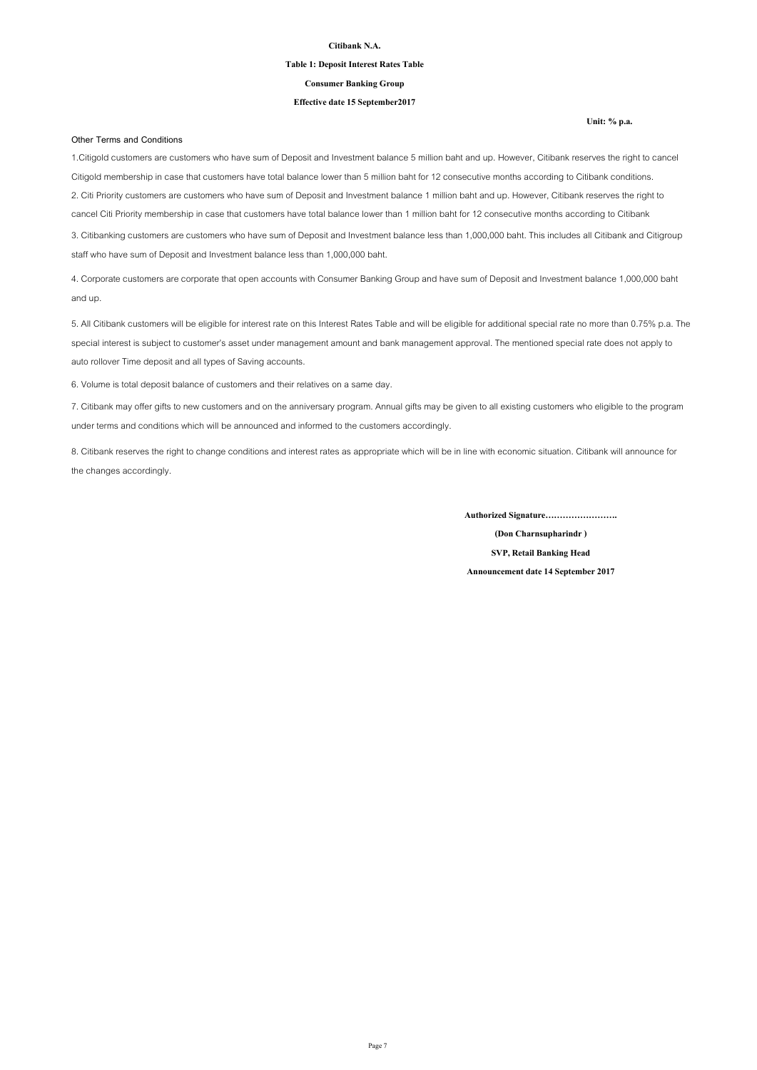#### **Table 1: Deposit Interest Rates Table**

**Consumer Banking Group**

#### **Effective date 15 September2017**

**Other Terms and Conditions**

1.Citigold customers are customers who have sum of Deposit and Investment balance 5 million baht and up. However, Citibank reserves the right to cancel Citigold membership in case that customers have total balance lower than 5 million baht for 12 consecutive months according to Citibank conditions. 2. Citi Priority customers are customers who have sum of Deposit and Investment balance 1 million baht and up. However, Citibank reserves the right to cancel Citi Priority membership in case that customers have total balance lower than 1 million baht for 12 consecutive months according to Citibank 3. Citibanking customers are customers who have sum of Deposit and Investment balance less than 1,000,000 baht. This includes all Citibank and Citigroup

staff who have sum of Deposit and Investment balance less than 1,000,000 baht.

4. Corporate customers are corporate that open accounts with Consumer Banking Group and have sum of Deposit and Investment balance 1,000,000 baht and up.

5. All Citibank customers will be eligible for interest rate on this Interest Rates Table and will be eligible for additional special rate no more than 0.75% p.a. The special interest is subject to customer's asset under management amount and bank management approval. The mentioned special rate does not apply to auto rollover Time deposit and all types of Saving accounts.

6. Volume is total deposit balance of customers and their relatives on a same day.

7. Citibank may offer gifts to new customers and on the anniversary program. Annual gifts may be given to all existing customers who eligible to the program under terms and conditions which will be announced and informed to the customers accordingly.

8. Citibank reserves the right to change conditions and interest rates as appropriate which will be in line with economic situation. Citibank will announce for the changes accordingly.

**Authorized Signature…………………….**

**(Don Charnsupharindr ) SVP, Retail Banking Head**

**Announcement date 14 September 2017**

**Unit: % p.a.**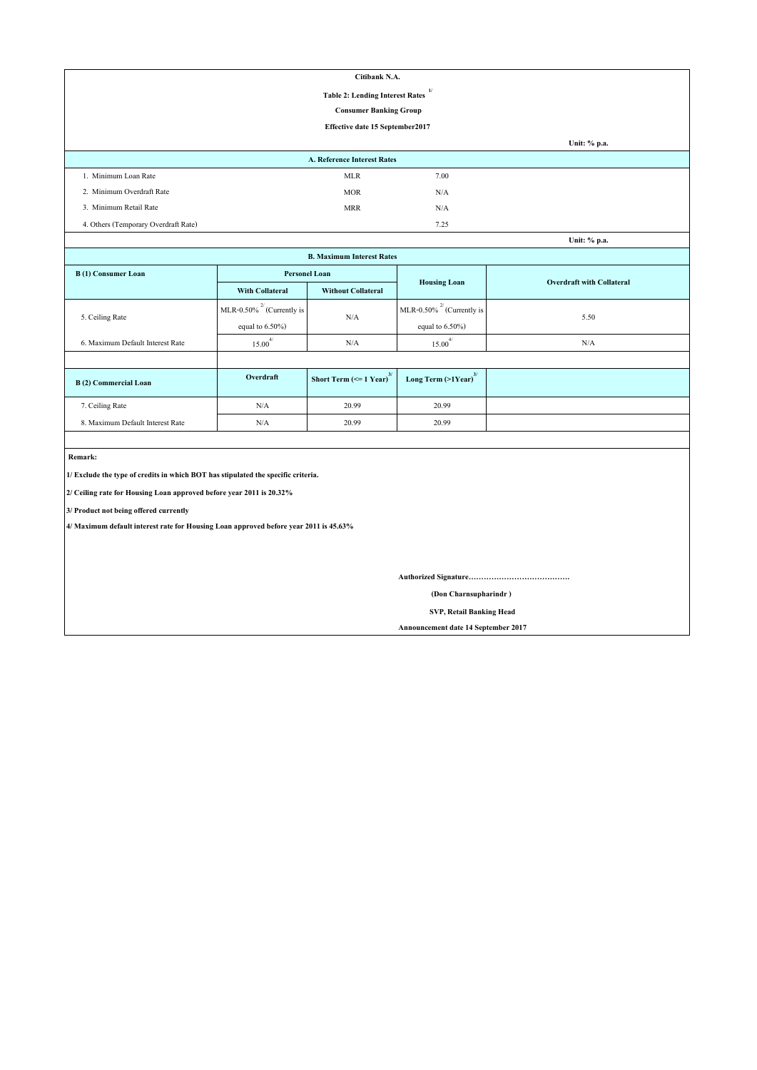| Citibank N.A.                        |                                                        |      |              |  |  |
|--------------------------------------|--------------------------------------------------------|------|--------------|--|--|
|                                      | $\mathbf{1}$<br><b>Table 2: Lending Interest Rates</b> |      |              |  |  |
|                                      | <b>Consumer Banking Group</b>                          |      |              |  |  |
|                                      | Effective date 15 September2017                        |      |              |  |  |
|                                      |                                                        |      | Unit: % p.a. |  |  |
|                                      | A. Reference Interest Rates                            |      |              |  |  |
| 1. Minimum Loan Rate                 | <b>MLR</b>                                             | 7.00 |              |  |  |
| 2. Minimum Overdraft Rate            | <b>MOR</b>                                             | N/A  |              |  |  |
| 3. Minimum Retail Rate               | <b>MRR</b>                                             | N/A  |              |  |  |
| 4. Others (Temporary Overdraft Rate) |                                                        | 7.25 |              |  |  |
|                                      |                                                        |      | Unit: % p.a. |  |  |

| Unit: % p.a.                     |                                |                                               |                                     |      |  |
|----------------------------------|--------------------------------|-----------------------------------------------|-------------------------------------|------|--|
| <b>B. Maximum Interest Rates</b> |                                |                                               |                                     |      |  |
| B(1) Consumer Loan               | <b>Personel Loan</b>           | <b>Overdraft with Collateral</b>              |                                     |      |  |
|                                  | <b>With Collateral</b>         | <b>Without Collateral</b>                     | <b>Housing Loan</b>                 |      |  |
|                                  | MLR-0.50% $^{2}$ (Currently is |                                               | MLR-0.50% $^{27}$ (Currently is     | 5.50 |  |
| 5. Ceiling Rate                  | equal to $6.50\%$ )            | N/A                                           | equal to $6.50\%$ )                 |      |  |
| 6. Maximum Default Interest Rate | $15.00^{4/}$                   | N/A                                           | $15.00^{4/}$                        | N/A  |  |
|                                  |                                |                                               |                                     |      |  |
| <b>B</b> (2) Commercial Loan     | Overdraft                      | Short Term $\left(\leq 1$ Year) <sup>3/</sup> | Long Term $(>1$ Year) <sup>3/</sup> |      |  |
| 7. Ceiling Rate                  | N/A                            | 20.99                                         | 20.99                               |      |  |
| 8. Maximum Default Interest Rate | N/A                            | 20.99                                         | 20.99                               |      |  |

 **Remark:**

**1/ Exclude the type of credits in which BOT has stipulated the specific criteria.**

**2/ Ceiling rate for Housing Loan approved before year 2011 is 20.32%**

**3/ Product not being offered currently**

**4/ Maximum default interest rate for Housing Loan approved before year 2011 is 45.63%**

**Authorized Signature………………………………….**

 **(Don Charnsupharindr )**

 **SVP, Retail Banking Head**

**Announcement date 14 September 2017**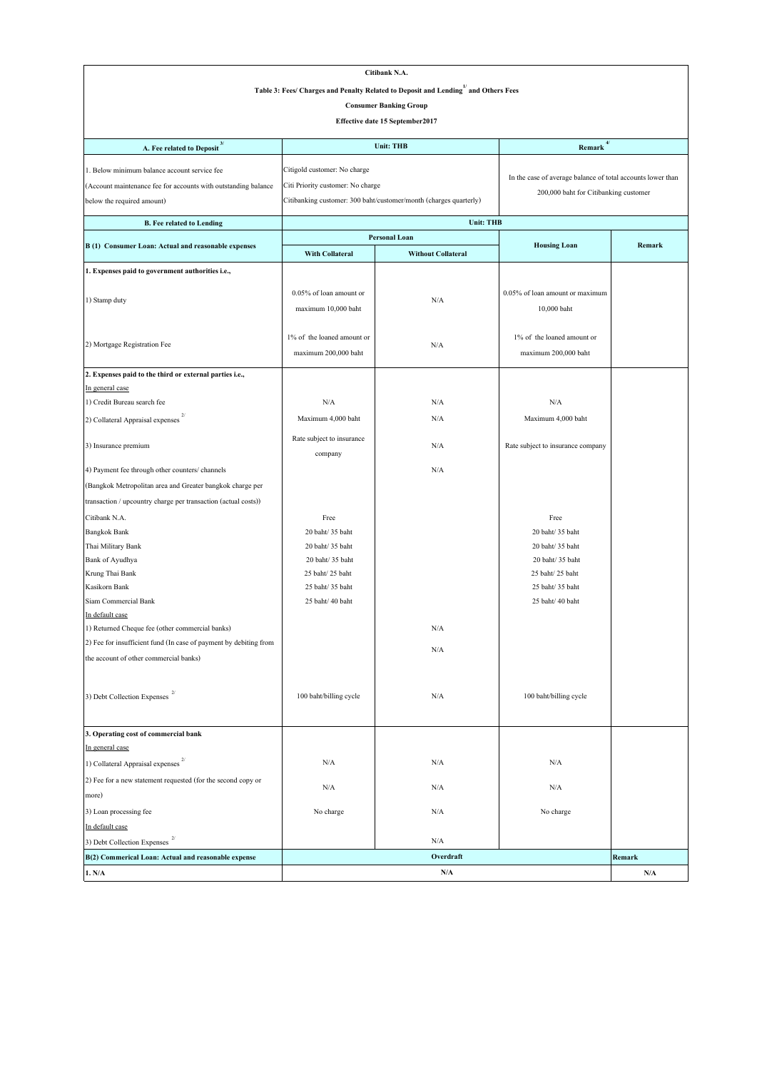|                                                                                                 |                                      | Citibank N.A.                                                     |                                                             |                         |  |
|-------------------------------------------------------------------------------------------------|--------------------------------------|-------------------------------------------------------------------|-------------------------------------------------------------|-------------------------|--|
| Table 3: Fees/ Charges and Penalty Related to Deposit and Lending <sup>1/</sup> and Others Fees |                                      |                                                                   |                                                             |                         |  |
| <b>Consumer Banking Group</b>                                                                   |                                      |                                                                   |                                                             |                         |  |
|                                                                                                 |                                      |                                                                   |                                                             |                         |  |
| Effective date 15 September2017                                                                 |                                      |                                                                   |                                                             |                         |  |
| A. Fee related to Deposit $^3$                                                                  |                                      | $4/$<br><b>Unit: THB</b><br>Remark                                |                                                             |                         |  |
| 1. Below minimum balance account service fee                                                    | Citigold customer: No charge         |                                                                   |                                                             |                         |  |
| (Account maintenance fee for accounts with outstanding balance                                  | Citi Priority customer: No charge    |                                                                   | In the case of average balance of total accounts lower than |                         |  |
| below the required amount)                                                                      |                                      | Citibanking customer: 300 baht/customer/month (charges quarterly) | 200,000 baht for Citibanking customer                       |                         |  |
|                                                                                                 |                                      |                                                                   |                                                             |                         |  |
| <b>B.</b> Fee related to Lending                                                                |                                      | <b>Unit: THB</b>                                                  |                                                             |                         |  |
| B (1) Consumer Loan: Actual and reasonable expenses                                             |                                      | <b>Personal Loan</b>                                              | <b>Housing Loan</b>                                         | Remark                  |  |
|                                                                                                 | With Collateral                      | <b>Without Collateral</b>                                         |                                                             |                         |  |
| 1. Expenses paid to government authorities i.e.,                                                |                                      |                                                                   |                                                             |                         |  |
|                                                                                                 | 0.05% of loan amount or              |                                                                   | 0.05% of loan amount or maximum                             |                         |  |
| 1) Stamp duty                                                                                   | maximum 10,000 baht                  | N/A                                                               | 10,000 baht                                                 |                         |  |
|                                                                                                 |                                      |                                                                   |                                                             |                         |  |
|                                                                                                 | 1% of the loaned amount or           |                                                                   | 1% of the loaned amount or                                  |                         |  |
| 2) Mortgage Registration Fee                                                                    | maximum 200,000 baht                 | N/A                                                               |                                                             |                         |  |
|                                                                                                 |                                      |                                                                   | maximum 200,000 baht                                        |                         |  |
| 2. Expenses paid to the third or external parties i.e.,                                         |                                      |                                                                   |                                                             |                         |  |
| In general case                                                                                 |                                      |                                                                   |                                                             |                         |  |
| 1) Credit Bureau search fee                                                                     | N/A                                  | N/A                                                               | N/A                                                         |                         |  |
| 2) Collateral Appraisal expenses                                                                | Maximum 4,000 baht                   | N/A                                                               | Maximum 4,000 baht                                          |                         |  |
| 3) Insurance premium                                                                            | Rate subject to insurance<br>company | N/A                                                               | Rate subject to insurance company                           |                         |  |
| 4) Payment fee through other counters/ channels                                                 |                                      | N/A                                                               |                                                             |                         |  |
| (Bangkok Metropolitan area and Greater bangkok charge per                                       |                                      |                                                                   |                                                             |                         |  |
| transaction / upcountry charge per transaction (actual costs))                                  |                                      |                                                                   |                                                             |                         |  |
| Citibank N.A.                                                                                   | Free                                 |                                                                   | Free                                                        |                         |  |
| <b>Bangkok Bank</b>                                                                             | 20 baht/ 35 baht                     |                                                                   | 20 baht/ 35 baht                                            |                         |  |
| Thai Military Bank                                                                              | 20 baht/ 35 baht                     |                                                                   | 20 baht/35 baht                                             |                         |  |
| Bank of Ayudhya                                                                                 | 20 baht/ 35 baht                     |                                                                   | 20 baht/ 35 baht                                            |                         |  |
| Krung Thai Bank                                                                                 | 25 baht/25 baht                      |                                                                   | 25 baht/ 25 baht                                            |                         |  |
| Kasikorn Bank                                                                                   | 25 baht/ 35 baht                     |                                                                   | 25 baht/ 35 baht                                            |                         |  |
| Siam Commercial Bank                                                                            | 25 baht/ 40 baht                     |                                                                   | 25 baht/ 40 baht                                            |                         |  |
| In default case                                                                                 |                                      |                                                                   |                                                             |                         |  |
| 1) Returned Cheque fee (other commercial banks)                                                 |                                      | N/A                                                               |                                                             |                         |  |
| 2) Fee for insufficient fund (In case of payment by debiting from                               |                                      | N/A                                                               |                                                             |                         |  |
| the account of other commercial banks)                                                          |                                      |                                                                   |                                                             |                         |  |
|                                                                                                 |                                      |                                                                   |                                                             |                         |  |
| 3) Debt Collection Expenses $^{\mathrm{2/}}$                                                    | 100 baht/billing cycle               | N/A                                                               | 100 baht/billing cycle                                      |                         |  |
| 3. Operating cost of commercial bank                                                            |                                      |                                                                   |                                                             |                         |  |
| In general case                                                                                 |                                      |                                                                   |                                                             |                         |  |
| 1) Collateral Appraisal expenses                                                                | N/A                                  | N/A                                                               | N/A                                                         |                         |  |
| 2) Fee for a new statement requested (for the second copy or                                    |                                      |                                                                   |                                                             |                         |  |
| more)                                                                                           | N/A                                  | N/A                                                               | N/A                                                         |                         |  |
| 3) Loan processing fee                                                                          | No charge                            | N/A                                                               | No charge                                                   |                         |  |
| In default case                                                                                 |                                      |                                                                   |                                                             |                         |  |
| 3) Debt Collection Expenses                                                                     |                                      | N/A                                                               |                                                             |                         |  |
| B(2) Commerical Loan: Actual and reasonable expense                                             |                                      | Overdraft                                                         |                                                             | Remark                  |  |
| 1. N/A                                                                                          |                                      | N/A                                                               |                                                             | $\mathbf{N}/\mathbf{A}$ |  |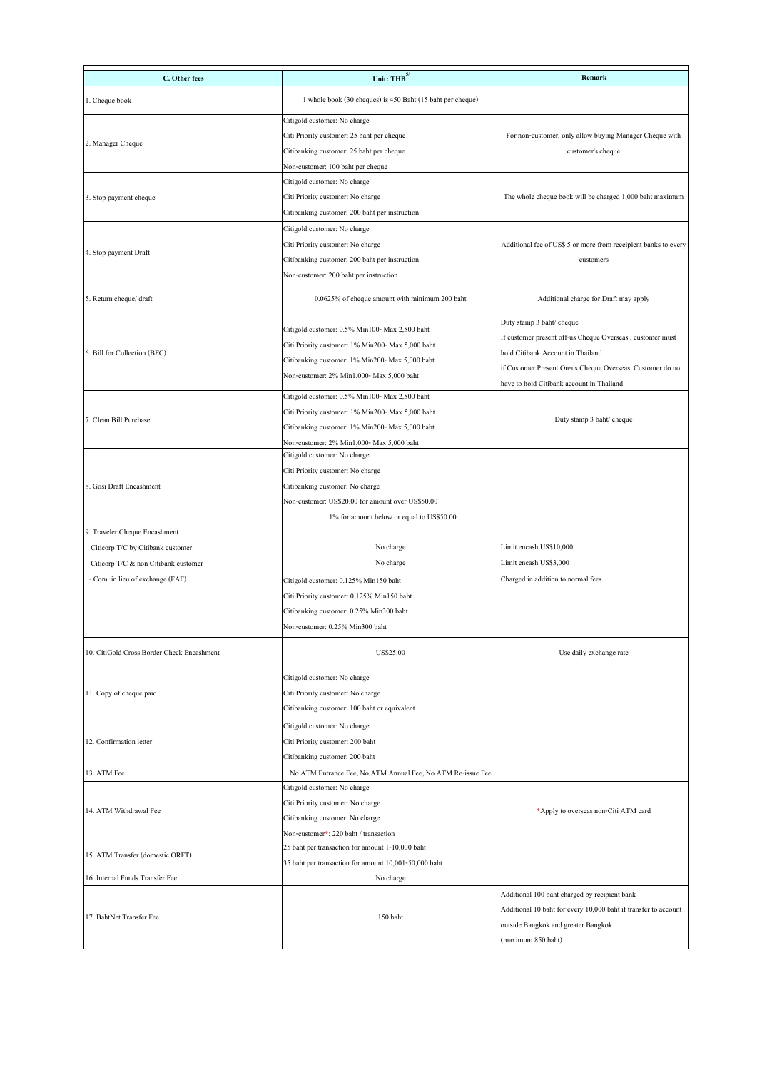| C. Other fees                              | Unit: THB <sup>5</sup>                                      | Remark                                                          |  |
|--------------------------------------------|-------------------------------------------------------------|-----------------------------------------------------------------|--|
|                                            |                                                             |                                                                 |  |
| 1. Cheque book                             | 1 whole book (30 cheques) is 450 Baht (15 baht per cheque)  |                                                                 |  |
|                                            | Citigold customer: No charge                                |                                                                 |  |
| 2. Manager Cheque                          | Citi Priority customer: 25 baht per cheque                  | For non-customer, only allow buying Manager Cheque with         |  |
|                                            | Citibanking customer: 25 baht per cheque                    | customer's cheque                                               |  |
|                                            | Non-customer: 100 baht per cheque                           |                                                                 |  |
|                                            | Citigold customer: No charge                                |                                                                 |  |
| 3. Stop payment cheque                     | Citi Priority customer: No charge                           | The whole cheque book will be charged 1,000 baht maximum        |  |
|                                            | Citibanking customer: 200 baht per instruction.             |                                                                 |  |
|                                            | Citigold customer: No charge                                |                                                                 |  |
| 4. Stop payment Draft                      | Citi Priority customer: No charge                           | Additional fee of US\$ 5 or more from receipient banks to every |  |
|                                            | Citibanking customer: 200 baht per instruction              | customers                                                       |  |
|                                            | Non-customer: 200 baht per instruction                      |                                                                 |  |
| 5. Return cheque/ draft                    | 0.0625% of cheque amount with minimum 200 baht              | Additional charge for Draft may apply                           |  |
|                                            |                                                             |                                                                 |  |
|                                            | Citigold customer: 0.5% Min100- Max 2,500 baht              | Duty stamp 3 baht/ cheque                                       |  |
|                                            | Citi Priority customer: 1% Min200- Max 5,000 baht           | If customer present off-us Cheque Overseas, customer must       |  |
| 6. Bill for Collection (BFC)               |                                                             | hold Citibank Account in Thailand                               |  |
|                                            | Citibanking customer: 1% Min200- Max 5,000 baht             | if Customer Present On-us Cheque Overseas, Customer do not      |  |
|                                            | Non-customer: 2% Min1,000- Max 5,000 baht                   | have to hold Citibank account in Thailand                       |  |
|                                            | Citigold customer: 0.5% Min100- Max 2,500 baht              |                                                                 |  |
| 7. Clean Bill Purchase                     | Citi Priority customer: 1% Min200- Max 5,000 baht           | Duty stamp 3 baht/ cheque                                       |  |
|                                            | Citibanking customer: 1% Min200- Max 5,000 baht             |                                                                 |  |
|                                            | Non-customer: 2% Min1,000- Max 5,000 baht                   |                                                                 |  |
|                                            | Citigold customer: No charge                                |                                                                 |  |
|                                            | Citi Priority customer: No charge                           |                                                                 |  |
| 8. Gosi Draft Encashment                   | Citibanking customer: No charge                             |                                                                 |  |
|                                            | Non-customer: US\$20.00 for amount over US\$50.00           |                                                                 |  |
|                                            | 1% for amount below or equal to US\$50.00                   |                                                                 |  |
| 9. Traveler Cheque Encashment              |                                                             |                                                                 |  |
| Citicorp T/C by Citibank customer          | No charge                                                   | Limit encash US\$10,000                                         |  |
| Citicorp T/C & non Citibank customer       | No charge                                                   | Limit encash US\$3,000                                          |  |
| - Com. in lieu of exchange (FAF)           | Citigold customer: 0.125% Min150 baht                       | Charged in addition to normal fees                              |  |
|                                            | Citi Priority customer: 0.125% Min150 baht                  |                                                                 |  |
|                                            | Citibanking customer: 0.25% Min300 baht                     |                                                                 |  |
|                                            | Non-customer: 0.25% Min300 baht                             |                                                                 |  |
| 10. CitiGold Cross Border Check Encashment | US\$25.00                                                   | Use daily exchange rate                                         |  |
|                                            |                                                             |                                                                 |  |
|                                            | Citigold customer: No charge                                |                                                                 |  |
| 11. Copy of cheque paid                    | Citi Priority customer: No charge                           |                                                                 |  |
|                                            | Citibanking customer: 100 baht or equivalent                |                                                                 |  |
|                                            | Citigold customer: No charge                                |                                                                 |  |
| 12. Confirmation letter                    | Citi Priority customer: 200 baht                            |                                                                 |  |
|                                            | Citibanking customer: 200 baht                              |                                                                 |  |
| 13. ATM Fee                                | No ATM Entrance Fee, No ATM Annual Fee, No ATM Re-issue Fee |                                                                 |  |
|                                            | Citigold customer: No charge                                |                                                                 |  |
|                                            | Citi Priority customer: No charge                           |                                                                 |  |
| 14. ATM Withdrawal Fee                     | Citibanking customer: No charge                             | *Apply to overseas non-Citi ATM card                            |  |
|                                            | Non-customer*: 220 baht / transaction                       |                                                                 |  |
|                                            | 25 baht per transaction for amount 1-10,000 baht            |                                                                 |  |
| 15. ATM Transfer (domestic ORFT)           | 35 baht per transaction for amount 10,001-50,000 baht       |                                                                 |  |
| 16. Internal Funds Transfer Fee            | No charge                                                   |                                                                 |  |
|                                            |                                                             | Additional 100 baht charged by recipient bank                   |  |
|                                            |                                                             | Additional 10 baht for every 10,000 baht if transfer to account |  |
| 17. BahtNet Transfer Fee                   | 150 baht                                                    | outside Bangkok and greater Bangkok                             |  |
|                                            |                                                             | (maximum 850 baht)                                              |  |
|                                            |                                                             |                                                                 |  |